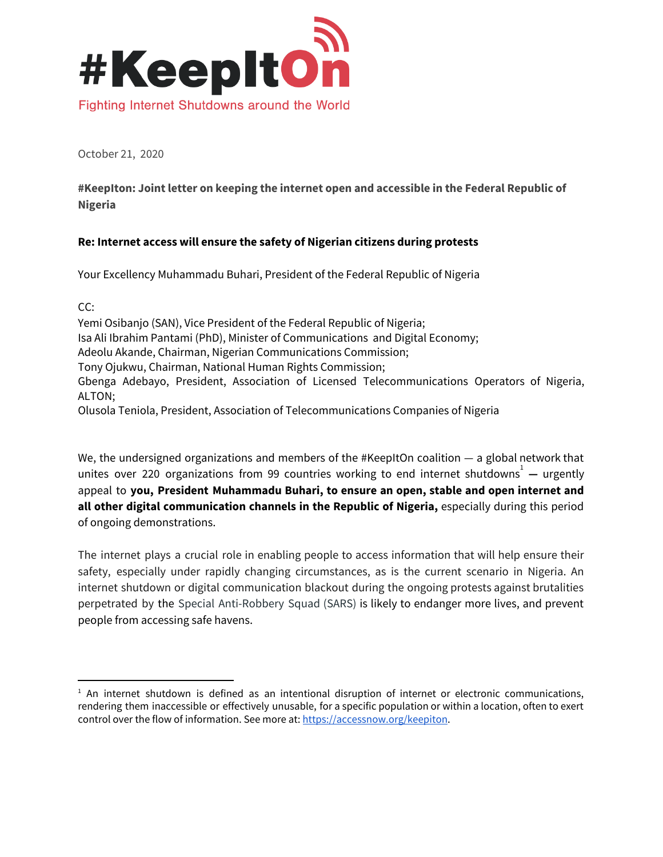

October 21, 2020

**#KeepIton: Joint letter on keeping the internet open and accessible in the Federal Republic of Nigeria**

## **Re: Internet access will ensure the safety of Nigerian citizens during protests**

Your Excellency Muhammadu Buhari, President of the Federal Republic of Nigeria

 $CC:$ Yemi Osibanjo (SAN), Vice President of the Federal Republic of Nigeria; Isa Ali Ibrahim Pantami (PhD), Minister of Communications and Digital Economy; Adeolu Akande, Chairman, Nigerian Communications Commission; Tony Ojukwu, Chairman, National Human Rights Commission; Gbenga Adebayo, President, Association of Licensed Telecommunications Operators of Nigeria, ALTON; Olusola Teniola, President, Association of Telecommunications Companies of Nigeria

We, the undersigned organizations and members of the #KeepItOn coalition - a global network that unites over 220 organizations from 99 countries working to end internet shutdowns<sup>1</sup> — urgently appeal to **you, President Muhammadu Buhari, to ensure an open, stable and open internet and all other digital communication channels in the Republic of Nigeria,** especially during this period of ongoing demonstrations.

The internet plays a crucial role in enabling people to access information that will help ensure their safety, especially under rapidly changing circumstances, as is the current scenario in Nigeria. An internet shutdown or digital communication blackout during the ongoing protests against brutalities perpetrated by the Special Anti-Robbery Squad (SARS) is likely to endanger more lives, and prevent people from accessing safe havens.

 $<sup>1</sup>$  An internet shutdown is defined as an intentional disruption of internet or electronic communications,</sup> rendering them inaccessible or effectively unusable, for a specific population or within a location, often to exert control over the flow of information. See more at: [https://accessnow.org/keepiton](https://accessnow.org/keepiton>).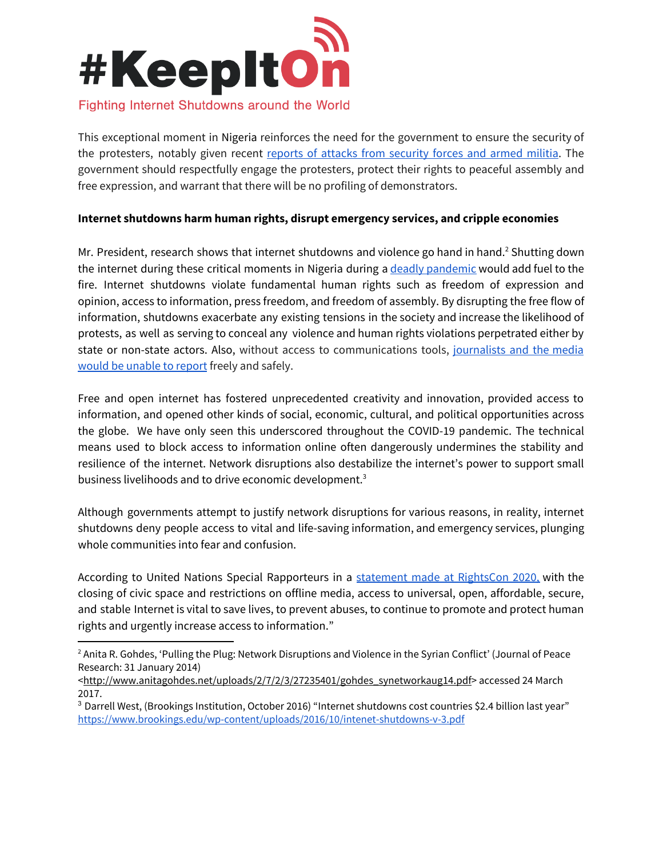

This exceptional moment in Nigeria reinforces the need for the government to ensure the security of the protesters, notably given recent reports of attacks from [security](https://www.bbc.com/news/world-africa-54551629) forces and armed militia. The government should respectfully engage the protesters, protect their rights to peaceful assembly and free expression, and warrant that there will be no profiling of demonstrators.

## **Internet shutdowns harm human rights, disrupt emergency services, and cripple economies**

Mr. President, research shows that internet shutdowns and violence go hand in hand.<sup>2</sup> Shutting down the internet during these critical moments in Nigeria during a deadly [pandemic](https://www.accessnow.org/keepiton-internet-shutdowns-put-lives-at-risk-during-covid-19/) would add fuel to the fire. Internet shutdowns violate fundamental human rights such as freedom of expression and opinion, access to information, press freedom, and freedom of assembly. By disrupting the free flow of information, shutdowns exacerbate any existing tensions in the society and increase the likelihood of protests, as well as serving to conceal any violence and human rights violations perpetrated either by state or non-state actors. Also, without access to communications tools, [journalists](https://www.africaportal.org/features/journalists-under-duress-internet-shutdowns-africa-are-stifling-press-freedom/) and the media would be [unable](https://www.africaportal.org/features/journalists-under-duress-internet-shutdowns-africa-are-stifling-press-freedom/) to report freely and safely.

Free and open internet has fostered unprecedented creativity and innovation, provided access to information, and opened other kinds of social, economic, cultural, and political opportunities across the globe. We have only seen this underscored throughout the COVID-19 pandemic. The technical means used to block access to information online often dangerously undermines the stability and resilience of the internet. Network disruptions also destabilize the internet's power to support small business livelihoods and to drive economic development.<sup>3</sup>

Although governments attempt to justify network disruptions for various reasons, in reality, internet shutdowns deny people access to vital and life-saving information, and emergency services, plunging whole communities into fear and confusion.

According to United Nations Special Rapporteurs in a [statement](https://www.ohchr.org/EN/NewsEvents/Pages/DisplayNews.aspx?NewsID=26139&LangID=E) made at RightsCon 2020, with the closing of civic space and restrictions on offline media, access to universal, open, affordable, secure, and stable Internet is vital to save lives, to prevent abuses, to continue to promote and protect human rights and urgently increase access to information."

<sup>&</sup>lt;sup>2</sup> Anita R. Gohdes, 'Pulling the Plug: Network Disruptions and Violence in the Syrian Conflict' (Journal of Peace Research: 31 January 2014)

<sup>&</sup>lt;[http://www.anitagohdes.net/uploads/2/7/2/3/27235401/gohdes\\_synetworkaug14.pdf>](http://www.anitagohdes.net/uploads/2/7/2/3/27235401/gohdes_synetworkaug14.pdf) accessed 24 March 2017.

<sup>3</sup> Darrell West, (Brookings Institution, October 2016) "Internet shutdowns cost countries \$2.4 billion last year" <https://www.brookings.edu/wp-content/uploads/2016/10/intenet-shutdowns-v-3.pdf>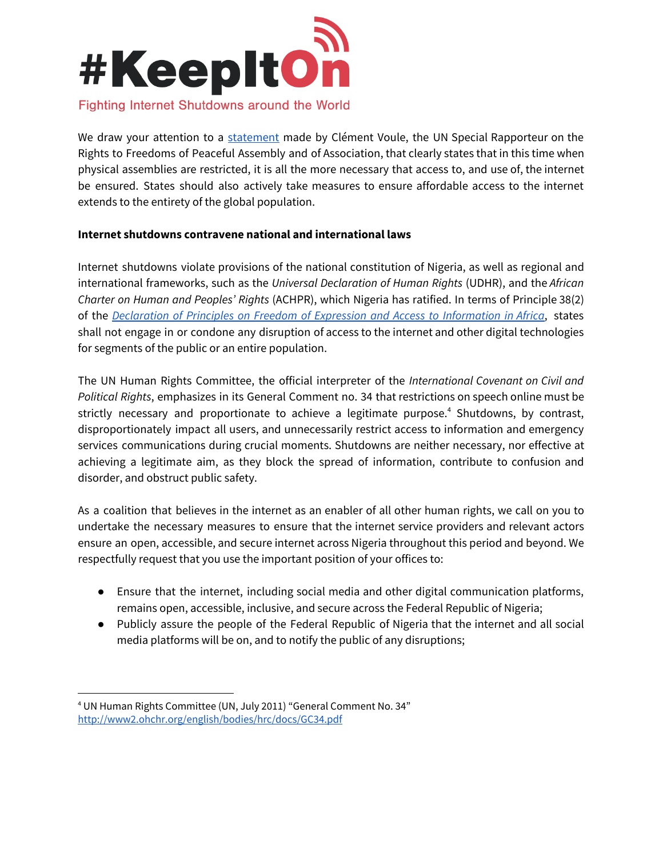

We draw your attention to a [statement](https://www.ohchr.org/en/NewsEvents/Pages/DisplayNews.aspx?NewsID=25788&LangID=E) made by Clément Voule, the UN Special Rapporteur on the Rights to Freedoms of Peaceful Assembly and of Association, that clearly states that in this time when physical assemblies are restricted, it is all the more necessary that access to, and use of, the internet be ensured. States should also actively take measures to ensure affordable access to the internet extends to the entirety of the global population.

## **Internet shutdowns contravene national and international laws**

Internet shutdowns violate provisions of the national constitution of Nigeria, as well as regional and international frameworks, such as the *Universal Declaration of Human Rights* (UDHR), and the *African Charter on Human and Peoples' Rights* (ACHPR), which Nigeria has ratified. In terms of Principle 38(2) of the *Declaration of Principles on Freedom of Expression and Access to [Information](https://www.achpr.org/legalinstruments/detail?id=69) in Africa*, states shall not engage in or condone any disruption of access to the internet and other digital technologies for segments of the public or an entire population.

The UN Human Rights Committee, the official interpreter of the *International Covenant on Civil and Political Rights*, emphasizes in its General Comment no. 34 that restrictions on speech online must be strictly necessary and proportionate to achieve a legitimate purpose.<sup>4</sup> Shutdowns, by contrast, disproportionately impact all users, and unnecessarily restrict access to information and emergency services communications during crucial moments. Shutdowns are neither necessary, nor effective at achieving a legitimate aim, as they block the spread of information, contribute to confusion and disorder, and obstruct public safety.

As a coalition that believes in the internet as an enabler of all other human rights, we call on you to undertake the necessary measures to ensure that the internet service providers and relevant actors ensure an open, accessible, and secure internet across Nigeria throughout this period and beyond. We respectfully request that you use the important position of your offices to:

- Ensure that the internet, including social media and other digital communication platforms, remains open, accessible, inclusive, and secure across the Federal Republic of Nigeria;
- Publicly assure the people of the Federal Republic of Nigeria that the internet and all social media platforms will be on, and to notify the public of any disruptions;

<sup>4</sup> UN Human Rights Committee (UN, July 2011) "General Comment No. 34" <http://www2.ohchr.org/english/bodies/hrc/docs/GC34.pdf>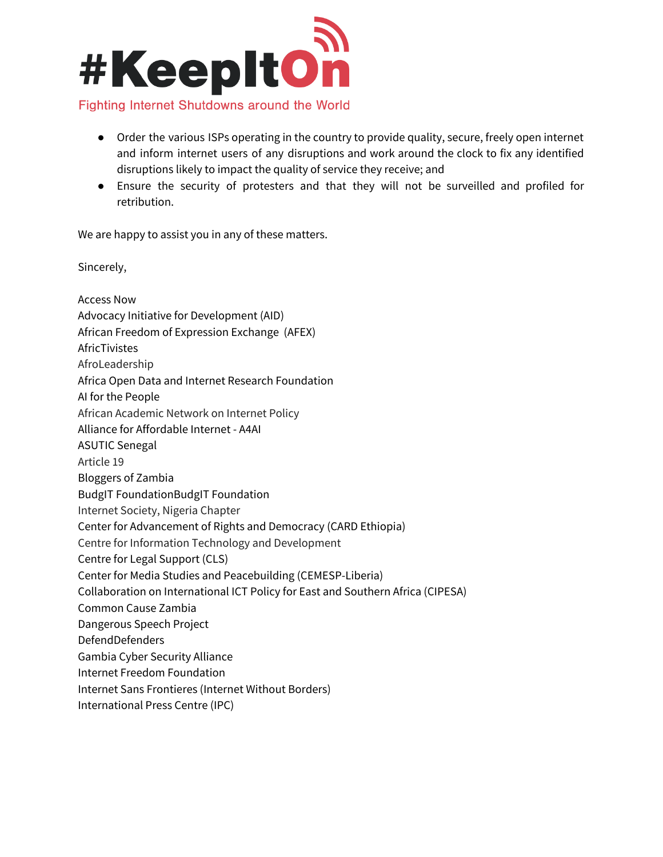

## ● Order the various ISPs operating in the country to provide quality, secure, freely open internet and inform internet users of any disruptions and work around the clock to fix any identified

- disruptions likely to impact the quality of service they receive; and
- Ensure the security of protesters and that they will not be surveilled and profiled for retribution.

We are happy to assist you in any of these matters.

Sincerely,

Access Now Advocacy Initiative for Development (AID) African Freedom of Expression Exchange (AFEX) AfricTivistes AfroLeadership Africa Open Data and Internet Research Foundation AI for the People African Academic Network on Internet Policy Alliance for Affordable Internet - A4AI ASUTIC Senegal Article 19 Bloggers of Zambia BudgIT FoundationBudgIT Foundation Internet Society, Nigeria Chapter Center for Advancement of Rights and Democracy (CARD Ethiopia) Centre for Information Technology and Development Centre for Legal Support (CLS) Center for Media Studies and Peacebuilding (CEMESP-Liberia) Collaboration on International ICT Policy for East and Southern Africa (CIPESA) Common Cause Zambia Dangerous Speech Project DefendDefenders Gambia Cyber Security Alliance Internet Freedom Foundation Internet Sans Frontieres (Internet Without Borders) International Press Centre (IPC)